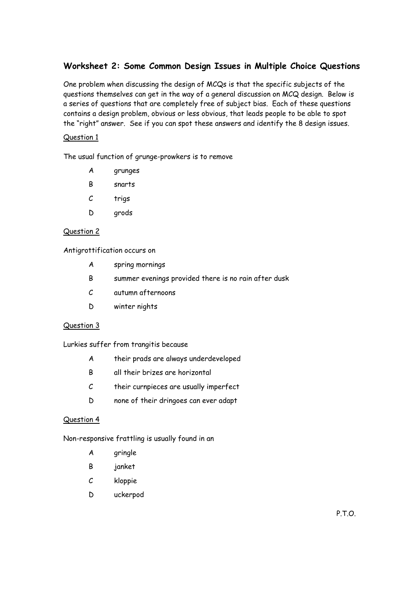## **Worksheet 2: Some Common Design Issues in Multiple Choice Questions**

One problem when discussing the design of MCQs is that the specific subjects of the questions themselves can get in the way of a general discussion on MCQ design. Below is a series of questions that are completely free of subject bias. Each of these questions contains a design problem, obvious or less obvious, that leads people to be able to spot the "right" answer. See if you can spot these answers and identify the 8 design issues.

## Question 1

The usual function of grunge-prowkers is to remove

- A grunges
- B snarts
- C trigs
- D arods

### Question 2

Antigrottification occurs on

- A spring mornings
- B summer evenings provided there is no rain after dusk
- C autumn afternoons
- D winter nights

#### Question 3

Lurkies suffer from trangitis because

- A their prads are always underdeveloped
- B all their brizes are horizontal
- C their curnpieces are usually imperfect
- D none of their dringoes can ever adapt

#### Question 4

Non-responsive frattling is usually found in an

- A gringle
- B janket
- C kloppie
- D uckerpod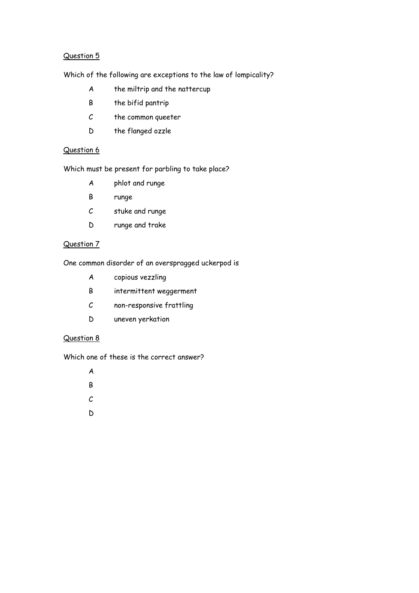## Question 5

Which of the following are exceptions to the law of lompicality?

- A the miltrip and the nattercup
- B the bifid pantrip
- C the common queeter
- D the flanged ozzle

## Question 6

Which must be present for parbling to take place?

- A phlot and runge
- B runge
- C stuke and runge
- D runge and trake

## Question 7

One common disorder of an overspragged uckerpod is

- A copious vezzling
- B intermittent weggerment
- C non-responsive frattling
- D uneven yerkation

## Question 8

Which one of these is the correct answer?

A

- B
- $\mathcal{C}$
- 
- D